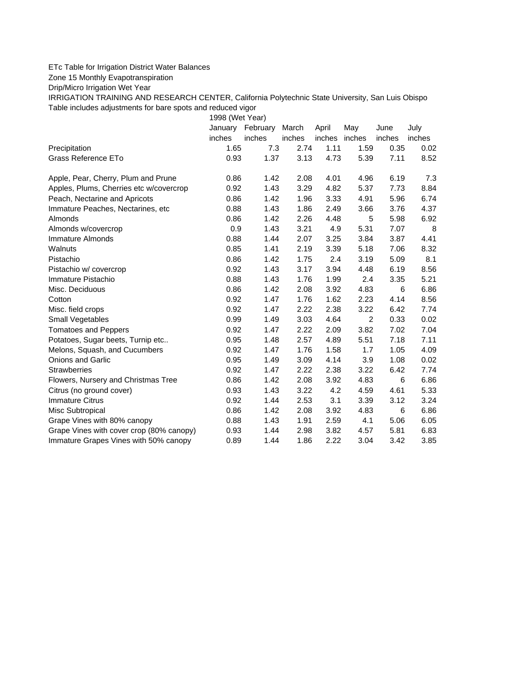## ETc Table for Irrigation District Water Balances

Zone 15 Monthly Evapotranspiration

Drip/Micro Irrigation Wet Year

IRRIGATION TRAINING AND RESEARCH CENTER, California Polytechnic State University, San Luis Obispo Table includes adjustments for bare spots and reduced vigor

1998 (Wet Year)

|                                          | January | February | March  | April         | May  | June   | July   |
|------------------------------------------|---------|----------|--------|---------------|------|--------|--------|
|                                          | inches  | inches   | inches | inches inches |      | inches | inches |
| Precipitation                            | 1.65    | 7.3      | 2.74   | 1.11          | 1.59 | 0.35   | 0.02   |
| Grass Reference ETo                      | 0.93    | 1.37     | 3.13   | 4.73          | 5.39 | 7.11   | 8.52   |
| Apple, Pear, Cherry, Plum and Prune      | 0.86    | 1.42     | 2.08   | 4.01          | 4.96 | 6.19   | 7.3    |
| Apples, Plums, Cherries etc w/covercrop  | 0.92    | 1.43     | 3.29   | 4.82          | 5.37 | 7.73   | 8.84   |
| Peach, Nectarine and Apricots            | 0.86    | 1.42     | 1.96   | 3.33          | 4.91 | 5.96   | 6.74   |
| Immature Peaches, Nectarines, etc        | 0.88    | 1.43     | 1.86   | 2.49          | 3.66 | 3.76   | 4.37   |
| Almonds                                  | 0.86    | 1.42     | 2.26   | 4.48          | 5    | 5.98   | 6.92   |
| Almonds w/covercrop                      | 0.9     | 1.43     | 3.21   | 4.9           | 5.31 | 7.07   | 8      |
| Immature Almonds                         | 0.88    | 1.44     | 2.07   | 3.25          | 3.84 | 3.87   | 4.41   |
| Walnuts                                  | 0.85    | 1.41     | 2.19   | 3.39          | 5.18 | 7.06   | 8.32   |
| Pistachio                                | 0.86    | 1.42     | 1.75   | 2.4           | 3.19 | 5.09   | 8.1    |
| Pistachio w/ covercrop                   | 0.92    | 1.43     | 3.17   | 3.94          | 4.48 | 6.19   | 8.56   |
| Immature Pistachio                       | 0.88    | 1.43     | 1.76   | 1.99          | 2.4  | 3.35   | 5.21   |
| Misc. Deciduous                          | 0.86    | 1.42     | 2.08   | 3.92          | 4.83 | 6      | 6.86   |
| Cotton                                   | 0.92    | 1.47     | 1.76   | 1.62          | 2.23 | 4.14   | 8.56   |
| Misc. field crops                        | 0.92    | 1.47     | 2.22   | 2.38          | 3.22 | 6.42   | 7.74   |
| Small Vegetables                         | 0.99    | 1.49     | 3.03   | 4.64          | 2    | 0.33   | 0.02   |
| <b>Tomatoes and Peppers</b>              | 0.92    | 1.47     | 2.22   | 2.09          | 3.82 | 7.02   | 7.04   |
| Potatoes, Sugar beets, Turnip etc        | 0.95    | 1.48     | 2.57   | 4.89          | 5.51 | 7.18   | 7.11   |
| Melons, Squash, and Cucumbers            | 0.92    | 1.47     | 1.76   | 1.58          | 1.7  | 1.05   | 4.09   |
| <b>Onions and Garlic</b>                 | 0.95    | 1.49     | 3.09   | 4.14          | 3.9  | 1.08   | 0.02   |
| <b>Strawberries</b>                      | 0.92    | 1.47     | 2.22   | 2.38          | 3.22 | 6.42   | 7.74   |
| Flowers, Nursery and Christmas Tree      | 0.86    | 1.42     | 2.08   | 3.92          | 4.83 | 6      | 6.86   |
| Citrus (no ground cover)                 | 0.93    | 1.43     | 3.22   | 4.2           | 4.59 | 4.61   | 5.33   |
| <b>Immature Citrus</b>                   | 0.92    | 1.44     | 2.53   | 3.1           | 3.39 | 3.12   | 3.24   |
| Misc Subtropical                         | 0.86    | 1.42     | 2.08   | 3.92          | 4.83 | 6      | 6.86   |
| Grape Vines with 80% canopy              | 0.88    | 1.43     | 1.91   | 2.59          | 4.1  | 5.06   | 6.05   |
| Grape Vines with cover crop (80% canopy) | 0.93    | 1.44     | 2.98   | 3.82          | 4.57 | 5.81   | 6.83   |
| Immature Grapes Vines with 50% canopy    | 0.89    | 1.44     | 1.86   | 2.22          | 3.04 | 3.42   | 3.85   |